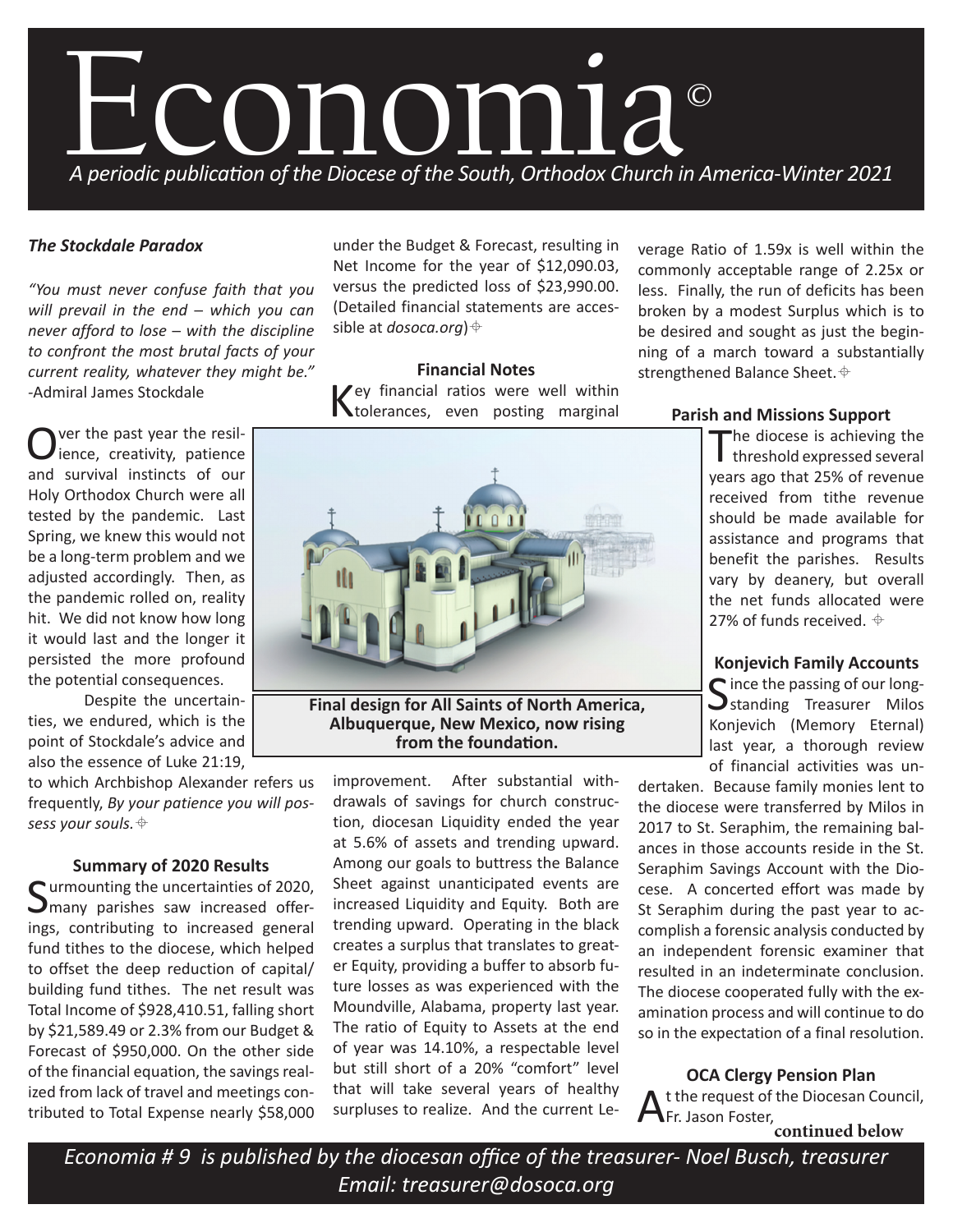

# *The Stockdale Paradox*

*"You must never confuse faith that you will prevail in the end ─ which you can never afford to lose ─ with the discipline to confront the most brutal facts of your current reality, whatever they might be." -*Admiral James Stockdale

Over the past year the resil-<br>
Dience, creativity, patience and survival instincts of our Holy Orthodox Church were all tested by the pandemic. Last Spring, we knew this would not be a long-term problem and we adjusted accordingly. Then, as the pandemic rolled on, reality hit. We did not know how long it would last and the longer it persisted the more profound the potential consequences.

Despite the uncertainties, we endured, which is the point of Stockdale's advice and also the essence of Luke 21:19,

to which Archbishop Alexander refers us frequently, *By your patience you will possess your souls.*

### **Summary of 2020 Results**

C urmounting the uncertainties of 2020.  $\sum$  many parishes saw increased offerings, contributing to increased general fund tithes to the diocese, which helped to offset the deep reduction of capital/ building fund tithes. The net result was Total Income of \$928,410.51, falling short by \$21,589.49 or 2.3% from our Budget & Forecast of \$950,000. On the other side of the financial equation, the savings realized from lack of travel and meetings contributed to Total Expense nearly \$58,000

under the Budget & Forecast, resulting in Net Income for the year of \$12,090.03, versus the predicted loss of \$23,990.00. (Detailed financial statements are accessible at *dosoca.org*)

**Financial Notes** Key financial ratios were well within tolerances, even posting marginal



**Final design for All Saints of North America, Albuquerque, New Mexico, now rising from the foundation.**

improvement. After substantial withdrawals of savings for church construction, diocesan Liquidity ended the year at 5.6% of assets and trending upward. Among our goals to buttress the Balance Sheet against unanticipated events are increased Liquidity and Equity. Both are trending upward. Operating in the black creates a surplus that translates to greater Equity, providing a buffer to absorb future losses as was experienced with the Moundville, Alabama, property last year. The ratio of Equity to Assets at the end of year was 14.10%, a respectable level but still short of a 20% "comfort" level that will take several years of healthy surpluses to realize. And the current Leverage Ratio of 1.59x is well within the commonly acceptable range of 2.25x or less. Finally, the run of deficits has been broken by a modest Surplus which is to be desired and sought as just the beginning of a march toward a substantially strengthened Balance Sheet.  $\oplus$ 

### **Parish and Missions Support**

 $\blacksquare$  he diocese is achieving the I threshold expressed several years ago that 25% of revenue received from tithe revenue should be made available for assistance and programs that benefit the parishes. Results vary by deanery, but overall the net funds allocated were 27% of funds received.  $\oplus$ 

### **Konjevich Family Accounts**

 $\bigcap$  ince the passing of our long- $\bigcup$ standing Treasurer Milos Konjevich (Memory Eternal) last year, a thorough review of financial activities was un-

dertaken. Because family monies lent to the diocese were transferred by Milos in 2017 to St. Seraphim, the remaining balances in those accounts reside in the St. Seraphim Savings Account with the Diocese. A concerted effort was made by St Seraphim during the past year to accomplish a forensic analysis conducted by an independent forensic examiner that resulted in an indeterminate conclusion. The diocese cooperated fully with the examination process and will continue to do so in the expectation of a final resolution.

**OCA Clergy Pension Plan** At the request of the Diocesan Council, Fr. Jason Foster, **continued below**

*Economia # 9 is published by the diocesan office of the treasurer- Noel Busch, treasurer Email: treasurer@dosoca.org*